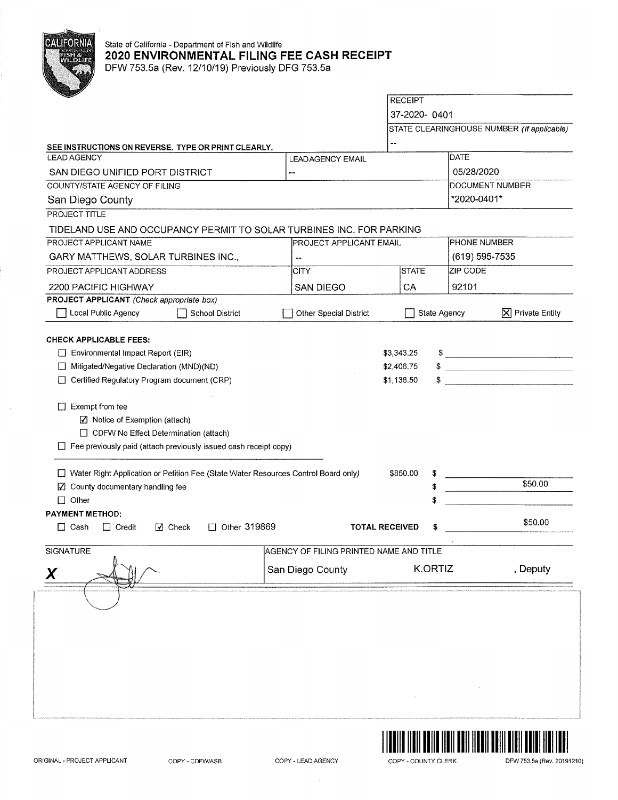

## State of California - Department of Fish and Wildlife **2020 ENVIRONMENTAL FILING FEE CASH RECEIPT**

DFW 753.5a (Rev. 12/10/19) Previously DFG 753.5a

|                                                                                      |                                         | <b>RECEIPT</b>        |              |                 |                                            |
|--------------------------------------------------------------------------------------|-----------------------------------------|-----------------------|--------------|-----------------|--------------------------------------------|
|                                                                                      |                                         | 37-2020-0401          |              |                 |                                            |
|                                                                                      |                                         |                       |              |                 | STATE CLEARINGHOUSE NUMBER (If applicable) |
| SEE INSTRUCTIONS ON REVERSE. TYPE OR PRINT CLEARLY.                                  |                                         | --                    |              |                 |                                            |
| <b>LEAD AGENCY</b>                                                                   | <b>LEADAGENCY EMAIL</b>                 |                       |              | DATE            |                                            |
| SAN DIEGO UNIFIED PORT DISTRICT                                                      |                                         |                       |              | 05/28/2020      |                                            |
| COUNTY/STATE AGENCY OF FILING                                                        |                                         |                       |              | DOCUMENT NUMBER |                                            |
| San Diego County                                                                     |                                         |                       |              | *2020-0401*     |                                            |
| <b>PROJECT TITLE</b>                                                                 |                                         |                       |              |                 |                                            |
| TIDELAND USE AND OCCUPANCY PERMIT TO SOLAR TURBINES INC. FOR PARKING                 |                                         |                       |              |                 |                                            |
| PROJECT APPLICANT NAME                                                               | <b>PROJECT APPLICANT EMAIL</b>          |                       |              | PHONE NUMBER    |                                            |
| GARY MATTHEWS, SOLAR TURBINES INC.,                                                  |                                         |                       |              | (619) 595-7535  |                                            |
| PROJECT APPLICANT ADDRESS                                                            | <b>CITY</b>                             | <b>STATE</b>          |              | <b>ZIP CODE</b> |                                            |
| 2200 PACIFIC HIGHWAY                                                                 | <b>SAN DIEGO</b>                        | CA                    |              | 92101           |                                            |
| PROJECT APPLICANT (Check appropriate box)                                            |                                         |                       |              |                 |                                            |
| Local Public Agency<br><b>School District</b>                                        | Other Special District                  |                       | State Agency |                 | $ \mathsf{X} $ Private Entity              |
| <b>CHECK APPLICABLE FEES:</b>                                                        |                                         |                       |              |                 |                                            |
| Environmental Impact Report (EIR)                                                    |                                         | \$3,343.25            |              |                 | $\frac{1}{2}$                              |
| Mitigated/Negative Declaration (MND)(ND)                                             |                                         | \$2,406.75            |              |                 |                                            |
| Certified Regulatory Program document (CRP)                                          |                                         | \$1,136.50            |              |                 |                                            |
|                                                                                      |                                         |                       |              |                 |                                            |
| $\Box$ Exempt from fee                                                               |                                         |                       |              |                 |                                            |
| ☑ Notice of Exemption (attach)                                                       |                                         |                       |              |                 |                                            |
| $\Box$ CDFW No Effect Determination (attach)                                         |                                         |                       |              |                 |                                            |
| $\Box$ Fee previously paid (attach previously issued cash receipt copy)              |                                         |                       |              |                 |                                            |
| □ Water Right Application or Petition Fee (State Water Resources Control Board only) |                                         | \$850.00              |              |                 |                                            |
| County documentary handling fee<br>M                                                 |                                         |                       | \$           |                 | \$50.00                                    |
| $\Box$ Other                                                                         |                                         |                       | \$           |                 |                                            |
| <b>PAYMENT METHOD:</b>                                                               |                                         |                       |              |                 |                                            |
| $\Box$ Other 319869<br>$\Box$ Cash<br>$\Box$ Credit<br>$\sqrt{ }$ Check              |                                         | <b>TOTAL RECEIVED</b> | \$           |                 | \$50.00                                    |
|                                                                                      |                                         |                       |              |                 |                                            |
|                                                                                      |                                         |                       |              |                 |                                            |
| <b>SIGNATURE</b>                                                                     | AGENCY OF FILING PRINTED NAME AND TITLE |                       |              |                 |                                            |
| Χ                                                                                    | San Diego County                        |                       | K.ORTIZ      |                 | , Deputy                                   |

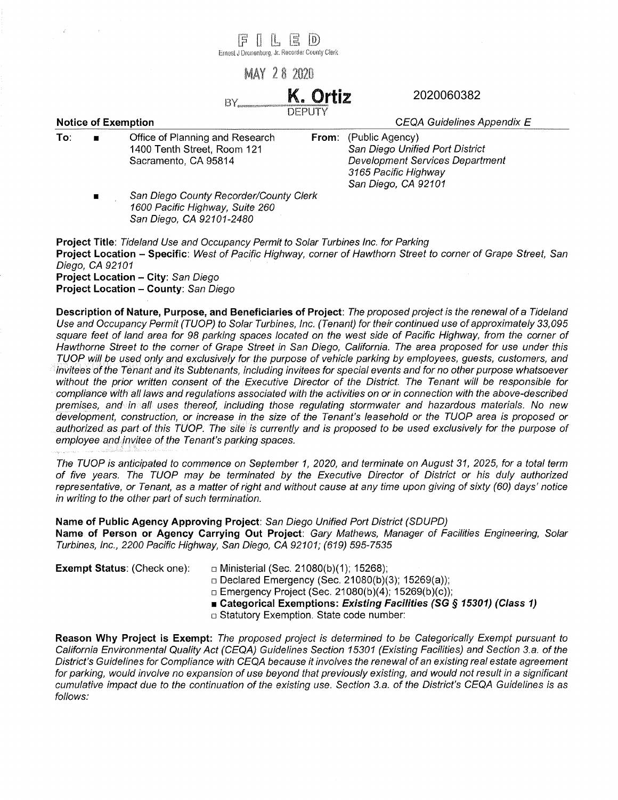|     |                                                                                                 | $\overline{5}$<br>Ernest J Dronenburg, Jr. Recorder County Clerk                                      | 픦                                                                                                                                           | $\mathbb{D}$       |                                                                                                                |
|-----|-------------------------------------------------------------------------------------------------|-------------------------------------------------------------------------------------------------------|---------------------------------------------------------------------------------------------------------------------------------------------|--------------------|----------------------------------------------------------------------------------------------------------------|
|     |                                                                                                 |                                                                                                       | <b>MAY 28 2020</b>                                                                                                                          |                    |                                                                                                                |
|     |                                                                                                 | BY.                                                                                                   |                                                                                                                                             | K. Ortiz<br>DEPUTY | 2020060382                                                                                                     |
|     | <b>Notice of Exemption</b>                                                                      |                                                                                                       |                                                                                                                                             |                    | CEQA Guidelines Appendix E                                                                                     |
| To: | Office of Planning and Research<br>From:<br>1400 Tenth Street, Room 121<br>Sacramento, CA 95814 |                                                                                                       | (Public Agency)<br>San Diego Unified Port District<br><b>Development Services Department</b><br>3165 Pacific Highway<br>San Diego, CA 92101 |                    |                                                                                                                |
|     | $\blacksquare$                                                                                  | San Diego County Recorder/County Clerk<br>1600 Pacific Highway, Suite 260<br>San Diego, CA 92101-2480 |                                                                                                                                             |                    |                                                                                                                |
|     |                                                                                                 | <b>Project Title: Tideland Use and Occupancy Permit to Solar Turbines Inc. for Parking</b>            |                                                                                                                                             |                    | Project Location - Specific: West of Pacific Highway, corner of Hawthorn Street to corner of Grape Street, San |

Diego, CA 92101 **Project Location - City:** San Diego **Project Location - County:** San Diego

**Description of Nature, Purpose, and Beneficiaries of Project:** The proposed project is the renewal of a Tideland Use and Occupancy Permit (TUOP) to Solar Turbines, Inc. (Tenant) for their continued use of approximately 33,095 square feet of land area for 98 parking spaces located on the west side of Pacific Highway, from the corner of Hawthorne Street to the corner of Grape Street in San Diego, California. The area proposed for use under this TUOP will be used only and exclusively for the purpose of vehicle parking by employees, guests, customers, and invitees of the Tenant and its Subtenants, including invitees for special events and for no other purpose whatsoever without the prior written consent of the Executive Director of the District. The Tenant will be responsible for compliance with all laws and regulations associated with the activities on or in connection with the above-described premises, and in all uses thereof, including those regulating stormwater and hazardous materials. No new development, construction, or increase in the size of the Tenant's leasehold or the TUOP area is proposed or authorized as part of this TUOP. The site is currently and is proposed to be used exclusively for the purpose of employee and invitee of the Tenant's parking spaces.

The TUOP is anticipated to commence on September 1, 2020, and terminate on August 31, 2025, for a total term of five years. The TUOP may be terminated by the Executive Director of District or his duly authorized representative, or Tenant, as a matter of right and without cause at any time upon giving of sixty (60) days' notice in writing to the other part of such termination.

**Name of Public Agency Approving Project:** San Diego Unified Port District (SDUPD)

**Name of Person or Agency Carrying Out Project:** Gary Mathews, Manager of Facilities Engineering, Solar Turbines, Inc., 2200 Pacific Highway, San Diego, CA 92101; (619) 595-7535

**Exempt Status: (Check one):** □ Ministerial (Sec. 21080(b)(1); 15268);

□ Declared Emergency (Sec. 21080(b)(3); 15269(a));

□ Emergency Project (Sec. 21080(b)(4); 15269(b)(c));

■ **Categorical Exemptions: Existing Facilities (SG** *§* **15301) (Class 1)** 

□ Statutory Exemption. State code number:

**Reason Why Project is Exempt:** The proposed project is determined to be Categorically Exempt pursuant to California Environmental Quality Act (CEQA) Guidelines Section 15301 (Existing Facilities) and Section 3.a. of the District's Guidelines for Compliance with CEQA because it involves the renewal of an existing real estate agreement for parking, would involve no expansion of use beyond that previously existing, and would not result in a significant cumulative impact due to the continuation of the existing use. Section 3.a. of the District's CEQA Guidelines is as follows: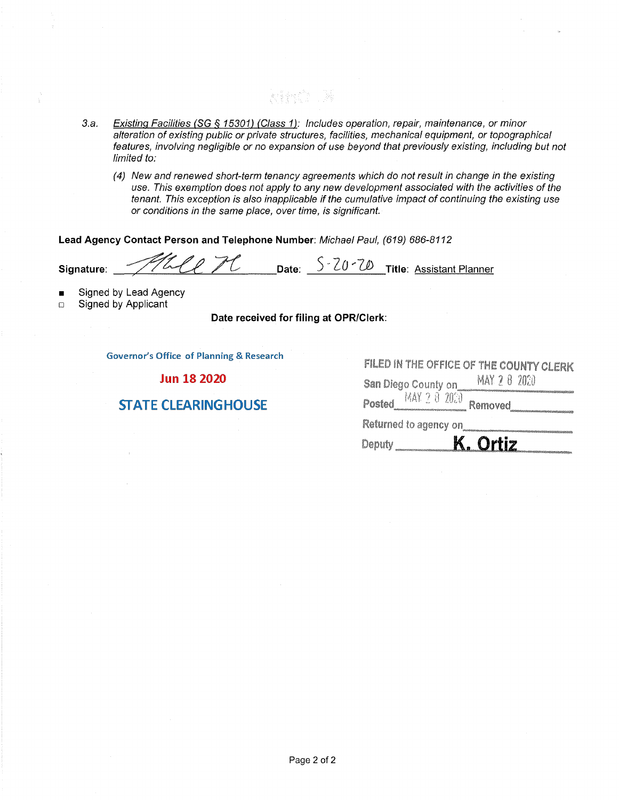3.a. Existing Facilities (SG § 15301) (Class 1): Includes operation, repair, maintenance, or minor alteration of existing public or private structures, facilities, mechanical equipment, or topographical features, involving negligible or no expansion of use beyond that previously existing, including but not limited to:

stinê N

(4) New and renewed short-term tenancy agreements which do not result in change in the existing use. This exemption does not apply to any new development associated with the activities of the tenant. This exception is also inapplicable if the cumulative impact of continuing the existing use or conditions in the same place, over time, is significant.

**Lead Agency Contact Person and Telephone Number:** Michael Paul, (619) 686-8112

**Signature: ALLER COND** Date: S-20-70 Title: Assistant Planner

- Signed by Lead Agency
- □ Signed by Applicant

**Date received for filing at OPR/Clerk:** 

**Governor's Office of Planning & Research** 

**Jun 18 2020** 

## **STATE CLEARINGHOUSE**

| FILED IN THE OFFICE OF THE COUNTY CLERK |
|-----------------------------------------|
| MAY 2 8 2000<br>San Diego County on     |
| MAY 2 8 2000<br>Posted<br>Removed       |
| Returned to agency on                   |
| <b>Ortiz</b><br>Deputy                  |
|                                         |
|                                         |